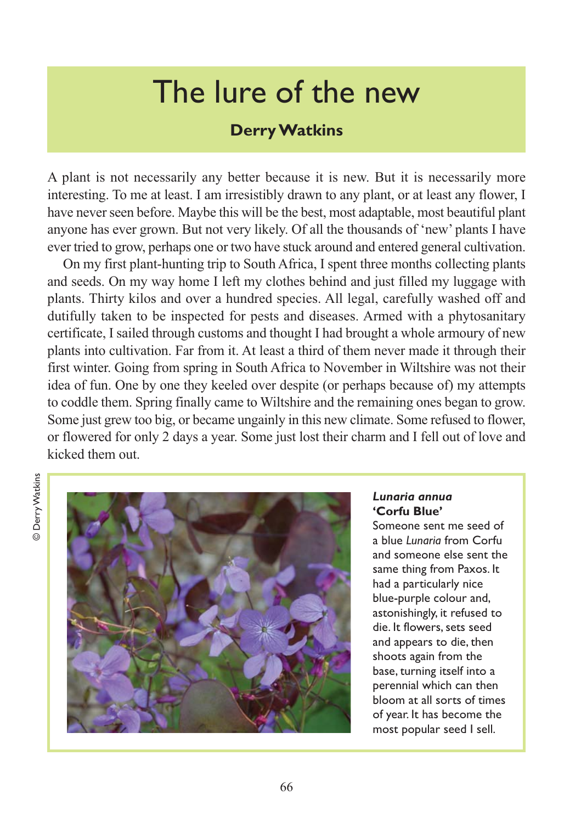# The lure of the new

## **Derry Watkins**

A plant is not necessarily any better because it is new. But it is necessarily more interesting. To me at least. I am irresistibly drawn to any plant, or at least any flower, I have never seen before. Maybe this will be the best, most adaptable, most beautiful plant anyone has ever grown. But not very likely. Of all the thousands of 'new' plants I have ever tried to grow, perhaps one or two have stuck around and entered general cultivation.

On my first plant-hunting trip to South Africa, I spent three months collecting plants and seeds. On my way home I left my clothes behind and just filled my luggage with plants. Thirty kilos and over a hundred species. All legal, carefully washed off and dutifully taken to be inspected for pests and diseases. Armed with a phytosanitary certificate, I sailed through customs and thought I had brought a whole armoury of new plants into cultivation. Far from it. At least a third of them never made it through their first winter. Going from spring in South Africa to November in Wiltshire was not their idea of fun. One by one they keeled over despite (or perhaps because of) my attempts to coddle them. Spring finally came to Wiltshire and the remaining ones began to grow. Some just grew too big, or became ungainly in this new climate. Some refused to flower, or flowered for only 2 days a year. Some just lost their charm and I fell out of love and kicked them out.

**Derry Watkins** © Derry Watkins



#### *Lunaria annua* **'Corfu Blue'**

Someone sent me seed of a blue *Lunaria* from Corfu and someone else sent the same thing from Paxos. It had a particularly nice blue-purple colour and, astonishingly, it refused to die. It flowers, sets seed and appears to die, then shoots again from the base, turning itself into a perennial which can then bloom at all sorts of times of year. It has become the most popular seed I sell.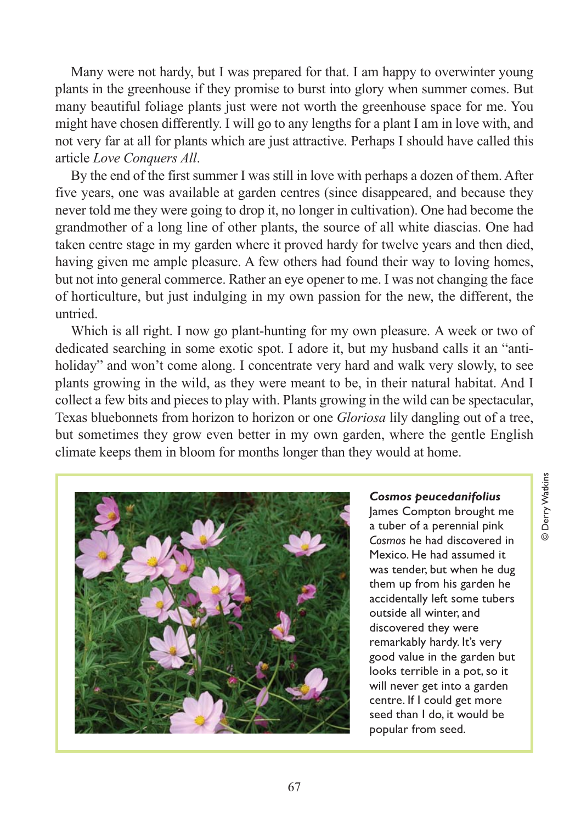Many were not hardy, but I was prepared for that. I am happy to overwinter young plants in the greenhouse if they promise to burst into glory when summer comes. But many beautiful foliage plants just were not worth the greenhouse space for me. You might have chosen differently. I will go to any lengths for a plant I am in love with, and not very far at all for plants which are just attractive. Perhaps I should have called this article *Love Conquers All*.

By the end of the first summer I was still in love with perhaps a dozen of them. After five years, one was available at garden centres (since disappeared, and because they never told me they were going to drop it, no longer in cultivation). One had become the grandmother of a long line of other plants, the source of all white diascias. One had taken centre stage in my garden where it proved hardy for twelve years and then died, having given me ample pleasure. A few others had found their way to loving homes, but not into general commerce. Rather an eye opener to me. I was not changing the face of horticulture, but just indulging in my own passion for the new, the different, the untried.

Which is all right. I now go plant-hunting for my own pleasure. A week or two of dedicated searching in some exotic spot. I adore it, but my husband calls it an "antiholiday" and won't come along. I concentrate very hard and walk very slowly, to see plants growing in the wild, as they were meant to be, in their natural habitat. And I collect a few bits and pieces to play with. Plants growing in the wild can be spectacular, Texas bluebonnets from horizon to horizon or one *Gloriosa* lily dangling out of a tree, but sometimes they grow even better in my own garden, where the gentle English climate keeps them in bloom for months longer than they would at home.



## *Cosmos peucedanifolius*

James Compton brought me a tuber of a perennial pink *Cosmos* he had discovered in Mexico. He had assumed it was tender, but when he dug them up from his garden he accidentally left some tubers outside all winter, and discovered they were remarkably hardy. It's very good value in the garden but looks terrible in a pot, so it will never get into a garden centre. If I could get more seed than I do, it would be popular from seed.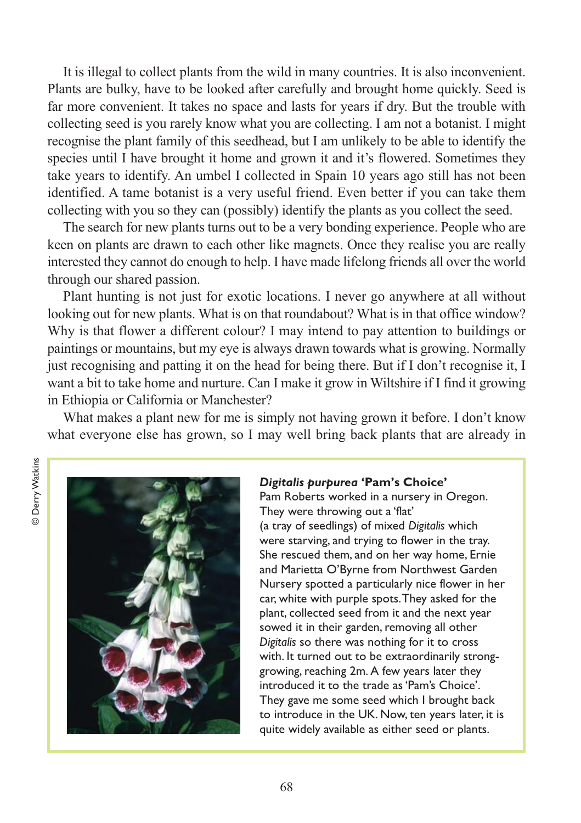It is illegal to collect plants from the wild in many countries. It is also inconvenient. Plants are bulky, have to be looked after carefully and brought home quickly. Seed is far more convenient. It takes no space and lasts for years if dry. But the trouble with collecting seed is you rarely know what you are collecting. I am not a botanist. I might recognise the plant family of this seedhead, but I am unlikely to be able to identify the species until I have brought it home and grown it and it's flowered. Sometimes they take years to identify. An umbel I collected in Spain 10 years ago still has not been identified. A tame botanist is a very useful friend. Even better if you can take them collecting with you so they can (possibly) identify the plants as you collect the seed.

The search for new plants turns out to be a very bonding experience. People who are keen on plants are drawn to each other like magnets. Once they realise you are really interested they cannot do enough to help. I have made lifelong friends all over the world through our shared passion.

Plant hunting is not just for exotic locations. I never go anywhere at all without looking out for new plants. What is on that roundabout? What is in that office window? Why is that flower a different colour? I may intend to pay attention to buildings or paintings or mountains, but my eye is always drawn towards what is growing. Normally just recognising and patting it on the head for being there. But if I don't recognise it, I want a bit to take home and nurture. Can I make it grow in Wiltshire if I find it growing in Ethiopia or California or Manchester?

What makes a plant new for me is simply not having grown it before. I don't know what everyone else has grown, so I may well bring back plants that are already in



#### *Digitalis purpurea* **'Pam's Choice'**

Pam Roberts worked in a nursery in Oregon. They were throwing out a 'flat' (a tray of seedlings) of mixed *Digitalis* which were starving, and trying to flower in the tray. She rescued them, and on her way home, Ernie and Marietta O'Byrne from Northwest Garden Nursery spotted a particularly nice flower in her car, white with purple spots. They asked for the plant, collected seed from it and the next year sowed it in their garden, removing all other *Digitalis* so there was nothing for it to cross with. It turned out to be extraordinarily stronggrowing, reaching 2m. A few years later they introduced it to the trade as 'Pam's Choice'. They gave me some seed which I brought back to introduce in the UK. Now, ten years later, it is quite widely available as either seed or plants.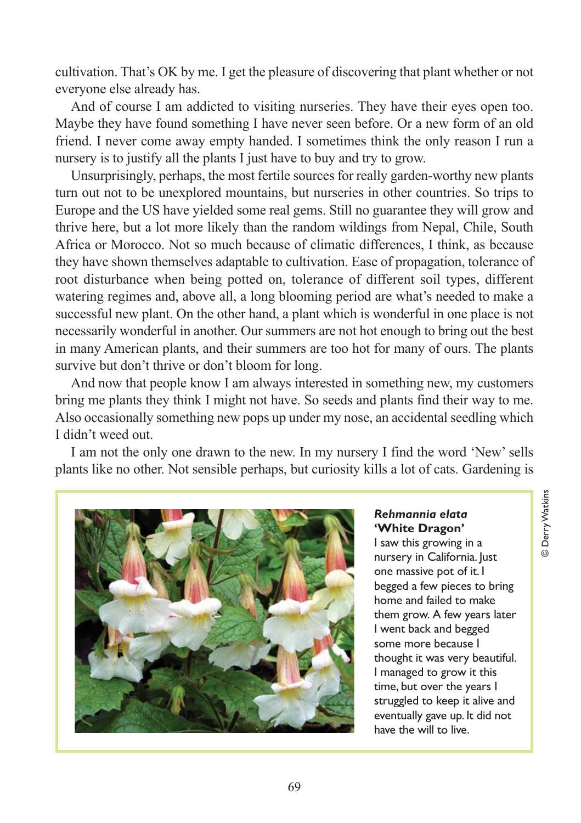cultivation. That's OK by me. I get the pleasure of discovering that plant whether or not everyone else already has.

And of course I am addicted to visiting nurseries. They have their eyes open too. Maybe they have found something I have never seen before. Or a new form of an old friend. I never come away empty handed. I sometimes think the only reason I run a nursery is to justify all the plants I just have to buy and try to grow.

Unsurprisingly, perhaps, the most fertile sources for really garden-worthy new plants turn out not to be unexplored mountains, but nurseries in other countries. So trips to Europe and the US have yielded some real gems. Still no guarantee they will grow and thrive here, but a lot more likely than the random wildings from Nepal, Chile, South Africa or Morocco. Not so much because of climatic differences, I think, as because they have shown themselves adaptable to cultivation. Ease of propagation, tolerance of root disturbance when being potted on, tolerance of different soil types, different watering regimes and, above all, a long blooming period are what's needed to make a successful new plant. On the other hand, a plant which is wonderful in one place is not necessarily wonderful in another. Our summers are not hot enough to bring out the best in many American plants, and their summers are too hot for many of ours. The plants survive but don't thrive or don't bloom for long.

And now that people know I am always interested in something new, my customers bring me plants they think I might not have. So seeds and plants find their way to me. Also occasionally something new pops up under my nose, an accidental seedling which I didn't weed out.

I am not the only one drawn to the new. In my nursery I find the word 'New' sells plants like no other. Not sensible perhaps, but curiosity kills a lot of cats. Gardening is



*Rehmannia elata* **'White Dragon'**

I saw this growing in a nursery in California. Just one massive pot of it. I begged a few pieces to bring home and failed to make them grow. A few years later I went back and begged some more because I thought it was very beautiful. I managed to grow it this time, but over the years I struggled to keep it alive and eventually gave up. It did not have the will to live.